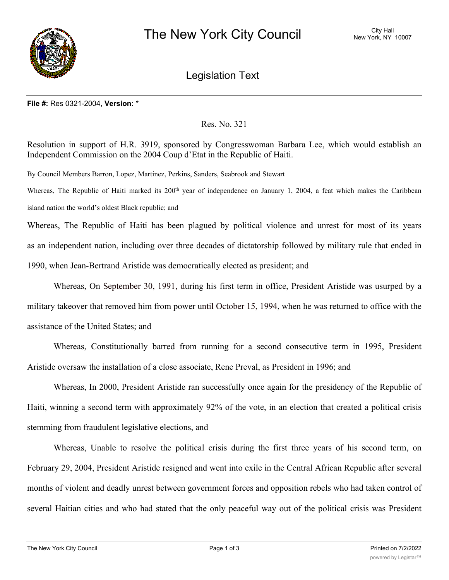

Legislation Text

## **File #:** Res 0321-2004, **Version:** \*

## Res. No. 321

Resolution in support of H.R. 3919, sponsored by Congresswoman Barbara Lee, which would establish an Independent Commission on the 2004 Coup d'Etat in the Republic of Haiti.

By Council Members Barron, Lopez, Martinez, Perkins, Sanders, Seabrook and Stewart

Whereas, The Republic of Haiti marked its  $200<sup>th</sup>$  year of independence on January 1, 2004, a feat which makes the Caribbean island nation the world's oldest Black republic; and

Whereas, The Republic of Haiti has been plagued by political violence and unrest for most of its years as an independent nation, including over three decades of dictatorship followed by military rule that ended in 1990, when Jean-Bertrand Aristide was democratically elected as president; and

Whereas, On September 30, 1991, during his first term in office, President Aristide was usurped by a military takeover that removed him from power until October 15, 1994, when he was returned to office with the assistance of the United States; and

Whereas, Constitutionally barred from running for a second consecutive term in 1995, President Aristide oversaw the installation of a close associate, Rene Preval, as President in 1996; and

Whereas, In 2000, President Aristide ran successfully once again for the presidency of the Republic of Haiti, winning a second term with approximately 92% of the vote, in an election that created a political crisis stemming from fraudulent legislative elections, and

Whereas, Unable to resolve the political crisis during the first three years of his second term, on February 29, 2004, President Aristide resigned and went into exile in the Central African Republic after several months of violent and deadly unrest between government forces and opposition rebels who had taken control of several Haitian cities and who had stated that the only peaceful way out of the political crisis was President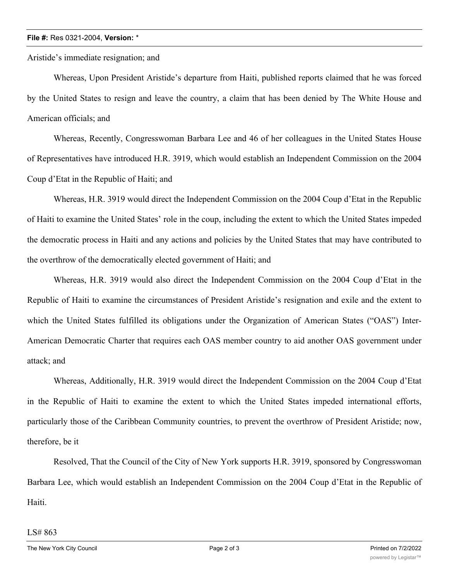## **File #:** Res 0321-2004, **Version:** \*

Aristide's immediate resignation; and

Whereas, Upon President Aristide's departure from Haiti, published reports claimed that he was forced by the United States to resign and leave the country, a claim that has been denied by The White House and American officials; and

Whereas, Recently, Congresswoman Barbara Lee and 46 of her colleagues in the United States House of Representatives have introduced H.R. 3919, which would establish an Independent Commission on the 2004 Coup d'Etat in the Republic of Haiti; and

Whereas, H.R. 3919 would direct the Independent Commission on the 2004 Coup d'Etat in the Republic of Haiti to examine the United States' role in the coup, including the extent to which the United States impeded the democratic process in Haiti and any actions and policies by the United States that may have contributed to the overthrow of the democratically elected government of Haiti; and

Whereas, H.R. 3919 would also direct the Independent Commission on the 2004 Coup d'Etat in the Republic of Haiti to examine the circumstances of President Aristide's resignation and exile and the extent to which the United States fulfilled its obligations under the Organization of American States ("OAS") Inter-American Democratic Charter that requires each OAS member country to aid another OAS government under attack; and

Whereas, Additionally, H.R. 3919 would direct the Independent Commission on the 2004 Coup d'Etat in the Republic of Haiti to examine the extent to which the United States impeded international efforts, particularly those of the Caribbean Community countries, to prevent the overthrow of President Aristide; now, therefore, be it

Resolved, That the Council of the City of New York supports H.R. 3919, sponsored by Congresswoman Barbara Lee, which would establish an Independent Commission on the 2004 Coup d'Etat in the Republic of Haiti.